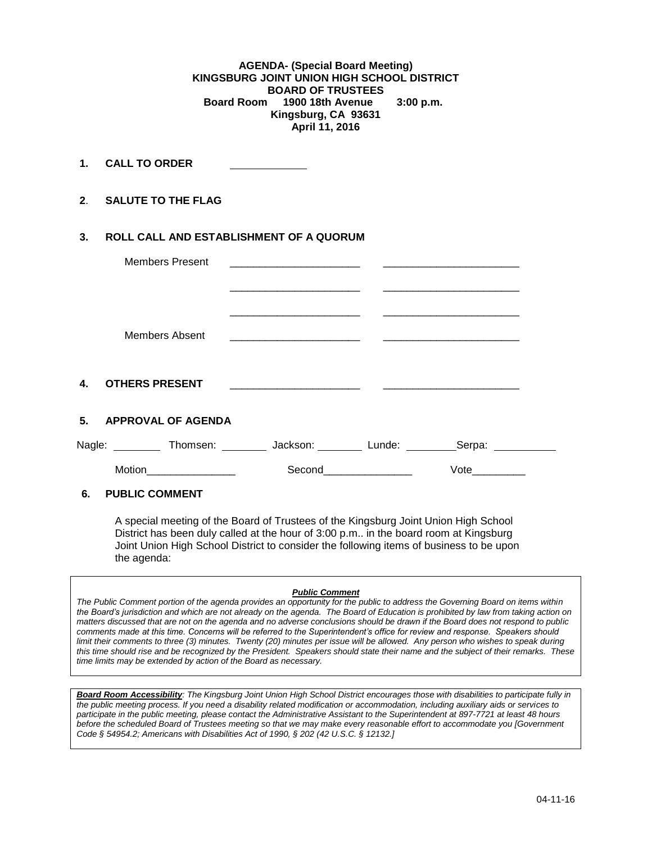**AGENDA- (Special Board Meeting) KINGSBURG JOINT UNION HIGH SCHOOL DISTRICT BOARD OF TRUSTEES Board Room 1900 18th Avenue 3:00 p.m. Kingsburg, CA 93631 April 11, 2016**

**1. CALL TO ORDER** 

**2**. **SALUTE TO THE FLAG**

## **3. ROLL CALL AND ESTABLISHMENT OF A QUORUM**

| <b>Members Present</b>                                                                       |                            | <u> 1980 - Jan Barbara, Amerikaansk politik (* 1908)</u>                                                     |      |  |
|----------------------------------------------------------------------------------------------|----------------------------|--------------------------------------------------------------------------------------------------------------|------|--|
|                                                                                              |                            |                                                                                                              |      |  |
| Members Absent                                                                               |                            |                                                                                                              |      |  |
| 4. OTHERS PRESENT                                                                            |                            | <u> 1980 - Jan Samuel Barbara, político establecer e a contrar establecer e a contrar establecer e a con</u> |      |  |
| 5. APPROVAL OF AGENDA                                                                        |                            |                                                                                                              |      |  |
| Nagle: ___________Thomsen: ____________Jackson: __________ Lunde: __________Serpa: _________ |                            |                                                                                                              |      |  |
|                                                                                              | Motion____________________ | Second_______________                                                                                        | Vote |  |
| 6.<br><b>PUBLIC COMMENT</b>                                                                  |                            |                                                                                                              |      |  |

A special meeting of the Board of Trustees of the Kingsburg Joint Union High School District has been duly called at the hour of 3:00 p.m.. in the board room at Kingsburg Joint Union High School District to consider the following items of business to be upon the agenda:

#### *Public Comment*

*The Public Comment portion of the agenda provides an opportunity for the public to address the Governing Board on items within the Board's jurisdiction and which are not already on the agenda. The Board of Education is prohibited by law from taking action on matters discussed that are not on the agenda and no adverse conclusions should be drawn if the Board does not respond to public comments made at this time. Concerns will be referred to the Superintendent's office for review and response. Speakers should limit their comments to three (3) minutes. Twenty (20) minutes per issue will be allowed. Any person who wishes to speak during this time should rise and be recognized by the President. Speakers should state their name and the subject of their remarks. These time limits may be extended by action of the Board as necessary.*

*Board Room Accessibility: The Kingsburg Joint Union High School District encourages those with disabilities to participate fully in the public meeting process. If you need a disability related modification or accommodation, including auxiliary aids or services to participate in the public meeting, please contact the Administrative Assistant to the Superintendent at 897-7721 at least 48 hours before the scheduled Board of Trustees meeting so that we may make every reasonable effort to accommodate you [Government Code § 54954.2; Americans with Disabilities Act of 1990, § 202 (42 U.S.C. § 12132.]*